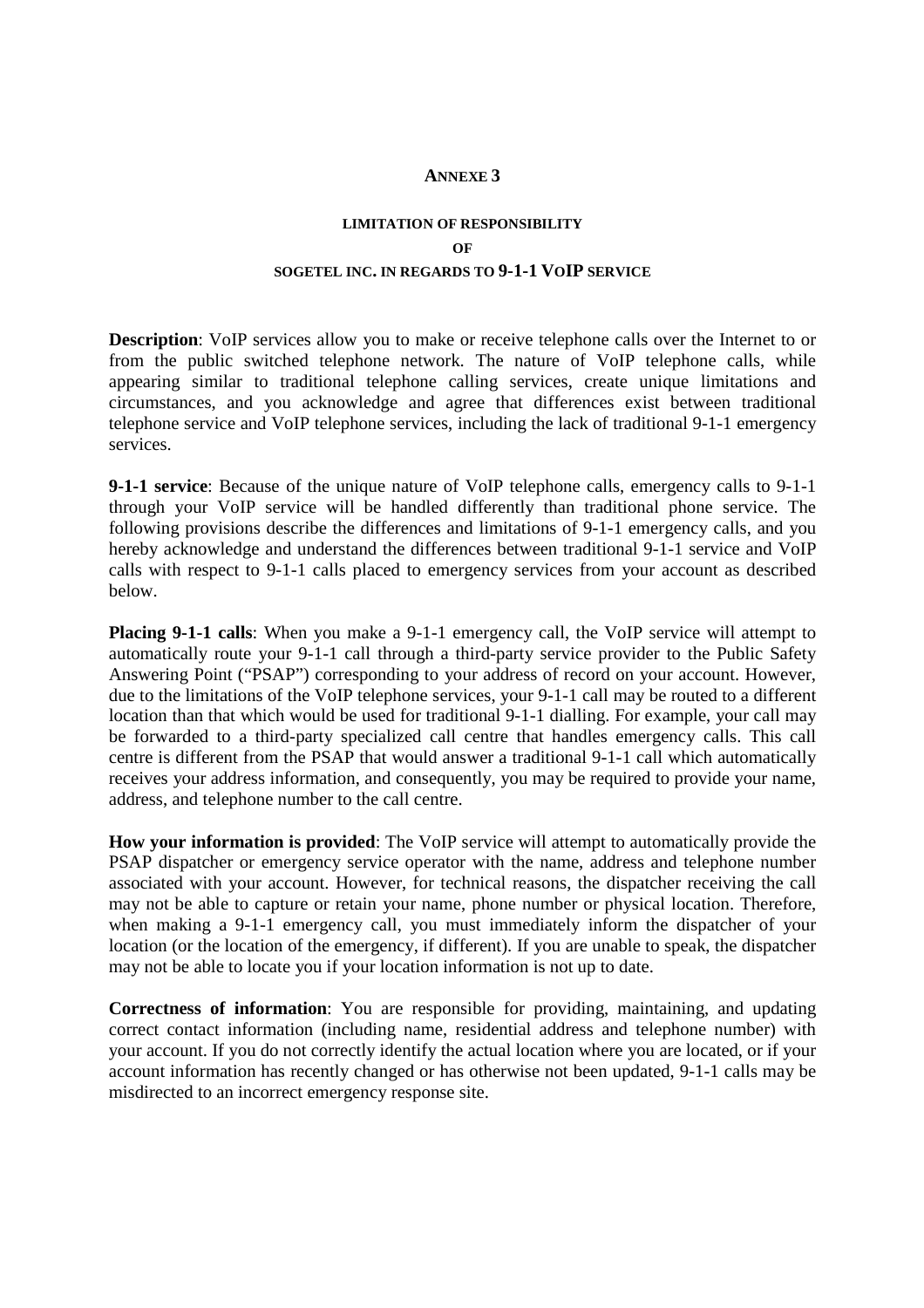## **ANNEXE 3**

## **LIMITATION OF RESPONSIBILITY OF SOGETEL INC. IN REGARDS TO 9-1-1 VOIP SERVICE**

**Description**: VoIP services allow you to make or receive telephone calls over the Internet to or from the public switched telephone network. The nature of VoIP telephone calls, while appearing similar to traditional telephone calling services, create unique limitations and circumstances, and you acknowledge and agree that differences exist between traditional telephone service and VoIP telephone services, including the lack of traditional 9-1-1 emergency services.

**9-1-1 service**: Because of the unique nature of VoIP telephone calls, emergency calls to 9-1-1 through your VoIP service will be handled differently than traditional phone service. The following provisions describe the differences and limitations of 9-1-1 emergency calls, and you hereby acknowledge and understand the differences between traditional 9-1-1 service and VoIP calls with respect to 9-1-1 calls placed to emergency services from your account as described below.

**Placing 9-1-1 calls**: When you make a 9-1-1 emergency call, the VoIP service will attempt to automatically route your 9-1-1 call through a third-party service provider to the Public Safety Answering Point ("PSAP") corresponding to your address of record on your account. However, due to the limitations of the VoIP telephone services, your 9-1-1 call may be routed to a different location than that which would be used for traditional 9-1-1 dialling. For example, your call may be forwarded to a third-party specialized call centre that handles emergency calls. This call centre is different from the PSAP that would answer a traditional 9-1-1 call which automatically receives your address information, and consequently, you may be required to provide your name, address, and telephone number to the call centre.

**How your information is provided**: The VoIP service will attempt to automatically provide the PSAP dispatcher or emergency service operator with the name, address and telephone number associated with your account. However, for technical reasons, the dispatcher receiving the call may not be able to capture or retain your name, phone number or physical location. Therefore, when making a 9-1-1 emergency call, you must immediately inform the dispatcher of your location (or the location of the emergency, if different). If you are unable to speak, the dispatcher may not be able to locate you if your location information is not up to date.

**Correctness of information**: You are responsible for providing, maintaining, and updating correct contact information (including name, residential address and telephone number) with your account. If you do not correctly identify the actual location where you are located, or if your account information has recently changed or has otherwise not been updated, 9-1-1 calls may be misdirected to an incorrect emergency response site.